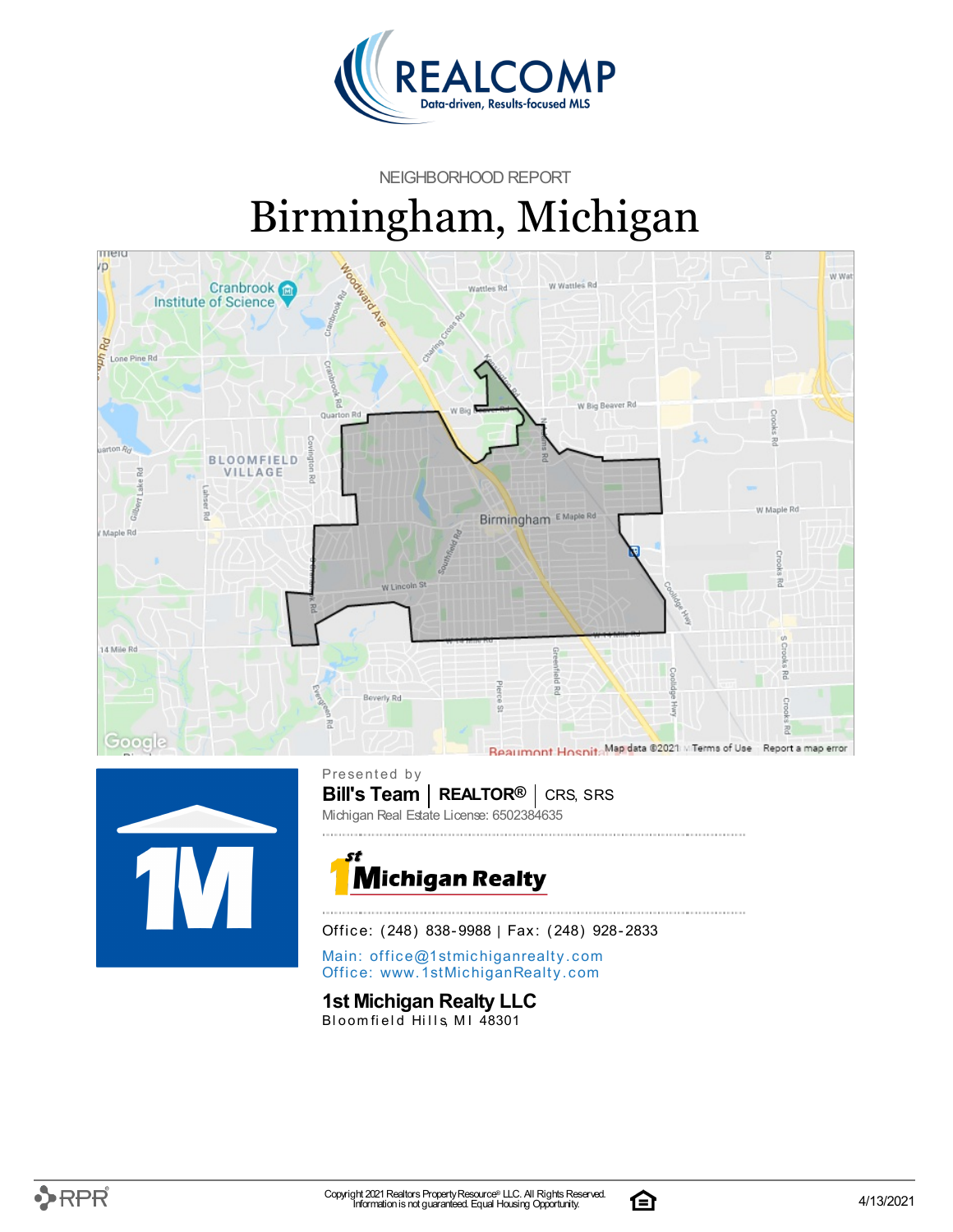

NEIGHBORHOOD REPORT

# Birmingham, Michigan





**Bill's Team** | **REALTOR<sup>®</sup>** | CRS, SRS Presented by Michigan Real Estate License: 6502384635



Office: (248) 838-9988 | Fax: (248) 928-2833

Main: o[ffi](mailto:office@1stmichiganrealty.com)ce@1stmichiganrealty.com Office: [www.](https://www.1stmichiganrealty.com/)1stMichiganRealty.com

### **1st Michigan Realty LLC**

Bloomfield Hills, MI 48301

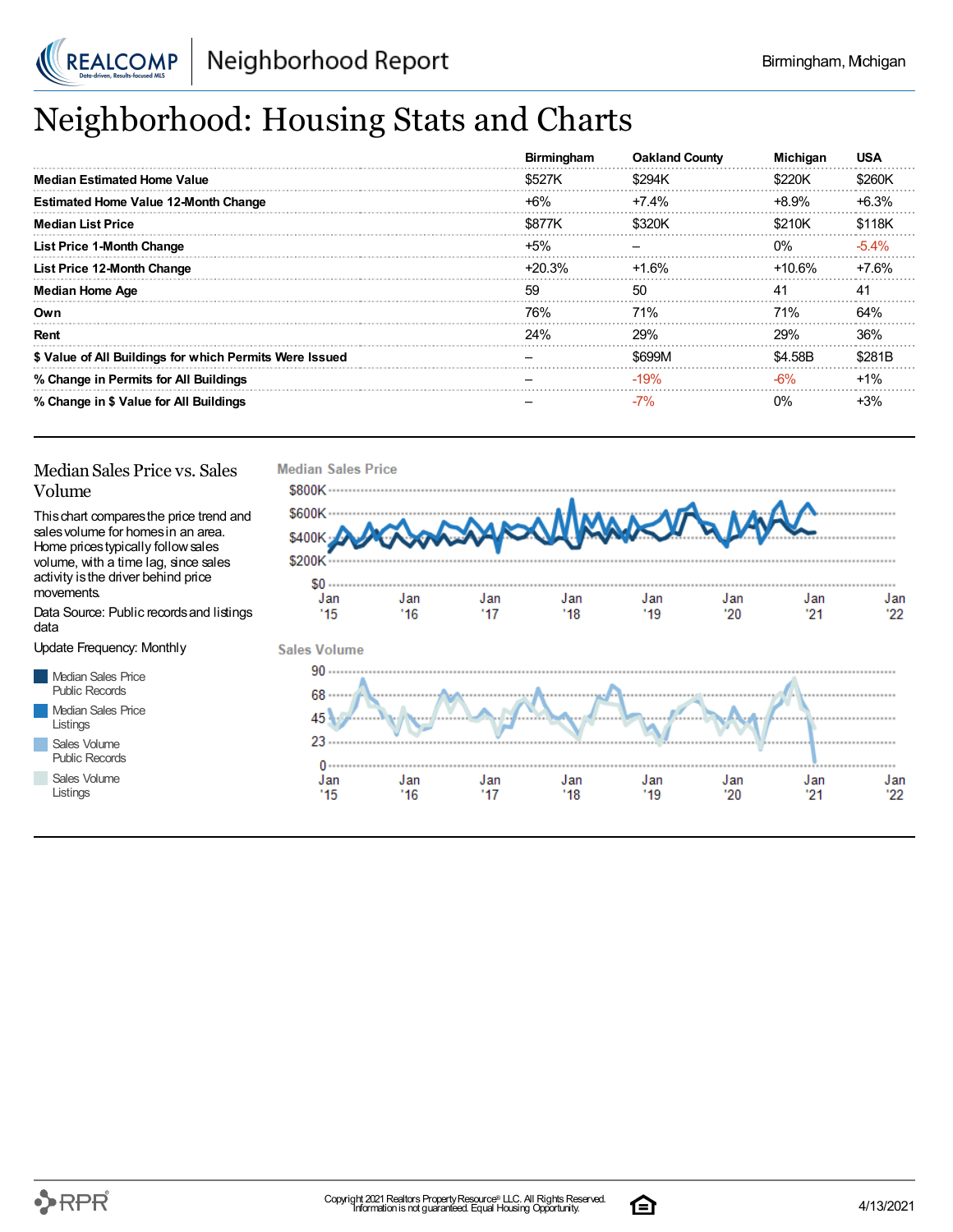

# Neighborhood: Housing Stats and Charts

|                                                         | <b>Birmingham</b> | <b>Oakland County</b> | <b>Michigan</b> | <b>USA</b> |
|---------------------------------------------------------|-------------------|-----------------------|-----------------|------------|
| Median Estimated Home Value                             | \$527K            | \$294K                | \$220K          | \$260K     |
| <b>Estimated Home Value 12-Month Change</b>             | $+6%$             | $+7.4%$               | $+8.9%$         | $+6.3%$    |
| <b>Median List Price</b>                                | \$877K            | \$320K                | \$210K          | \$118K     |
| <b>List Price 1-Month Change</b>                        | $+5%$             |                       | $0\%$           | $-5.4\%$   |
| List Price 12-Month Change                              | $+20.3%$          | +1.6%                 | $+10.6\%$       | +7.6%      |
| <b>Median Home Age</b>                                  | 59                | 50                    | 41              | -41        |
| Own                                                     | 76%               | <b>71%</b>            | 71%             | 64%        |
| Rent                                                    | 24%               | 29%                   | 29%             | 36%        |
| \$ Value of All Buildings for which Permits Were Issued |                   | \$699M                | \$4.58B         | \$281B     |
| % Change in Permits for All Buildings                   |                   | $-19%$                | $-6%$           | $+1%$      |
| % Change in \$ Value for All Buildings                  |                   | $-7%$                 | 0%              | $+3%$      |

### Median Sales Price vs. Sales Volume

Thischart comparesthe price trend and salesvolume for homesin an area. Home pricestypically followsales volume, with a time lag, since sales activity is the driver behind price movements.

Data Source: Public recordsand listings data

Update Frequency: Monthly

Median Sales Price Public Records Median Sales Price Listings Sales Volume Public Records

Sales Volume Listings



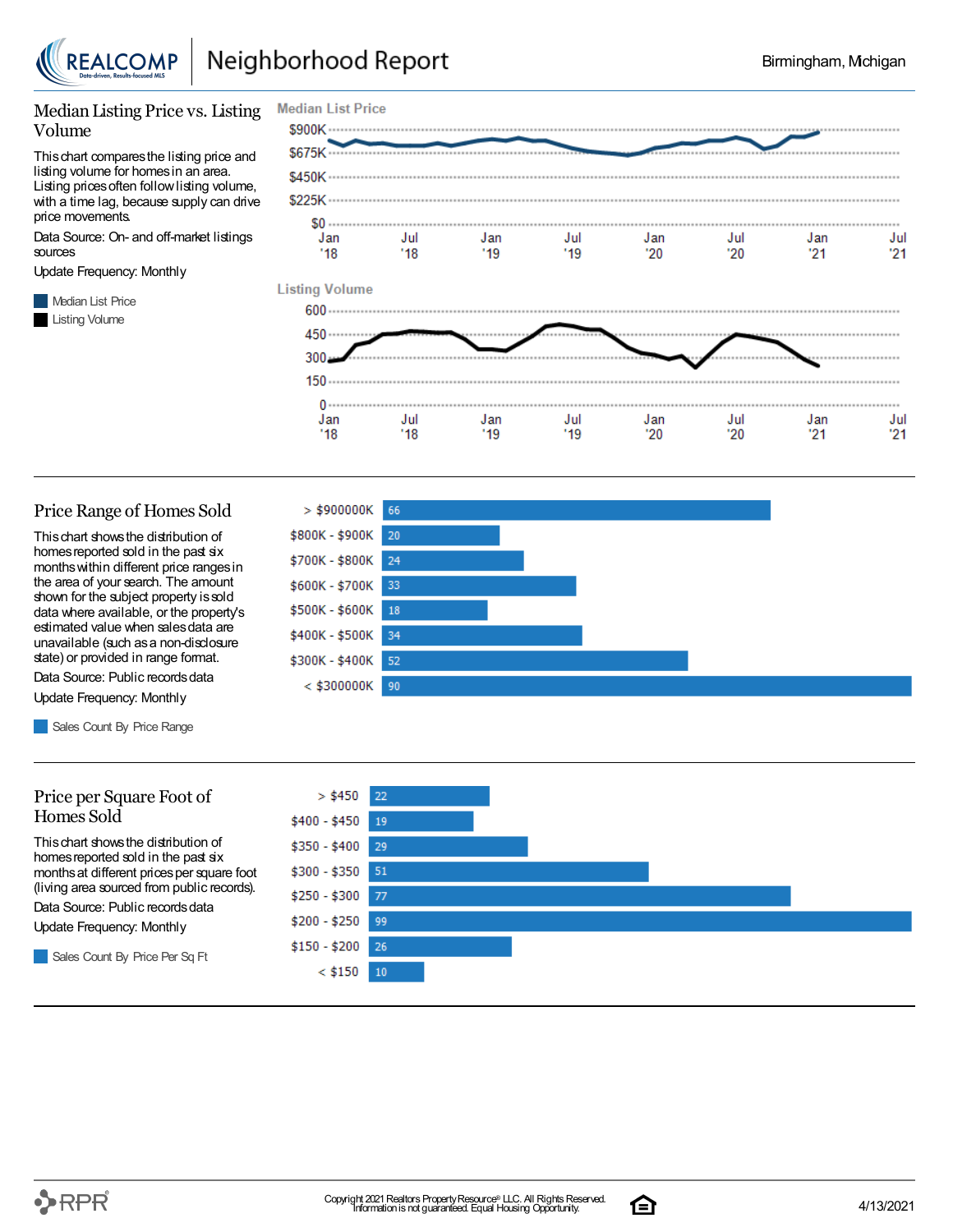

 $'18$ 

 $'18$ 

### Median Listing Price vs. Listing Volume

Thischart comparesthe listing price and listing volume for homesin an area. Listing prices often follow listing volume, with a time lag, because supply can drive price movements.

Data Source: On- and off-market listings sources

Update Frequency: Monthly

**Median List Price** Listing Volume



#### Price Range of Homes Sold

Thischart showsthe distribution of homes reported sold in the past six monthswithin different price rangesin the area of your search. The amount shown for the subject property issold data where available, or the property's estimated value when salesdata are unavailable (such asa non-disclosure state) or provided in range format.

Data Source: Public records data Update Frequency: Monthly

Sales Count By Price Range

#### Price per Square Foot of Homes Sold

Thischart showsthe distribution of homes reported sold in the past six monthsat different pricesper square foot (living area sourced from public records).

Data Source: Public records data

Update Frequency: Monthly

Sales Count By Price Per Sq Ft



 $'19$ 

 $20$ 

 $20^{\circ}$ 

 $21$ 

 $21$ 

 $'19$ 



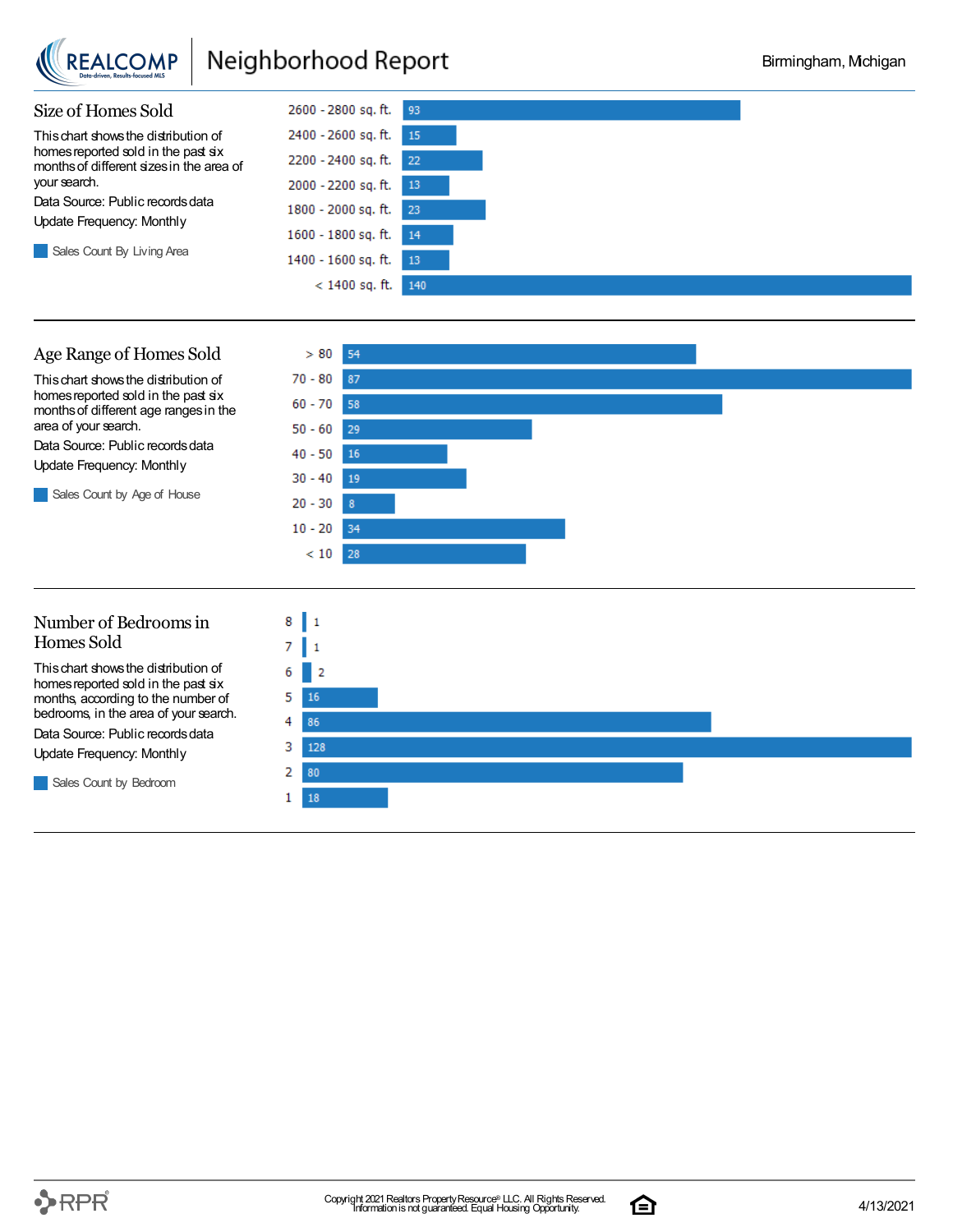

## Neighborhood Report



### Age Range of Homes Sold

Thischart showsthe distribution of homes reported sold in the past six monthsof different age rangesin the area of your search.

Data Source: Public records data Update Frequency: Monthly

Sales Count by Age of House



### Number of Bedroomsin Homes Sold

Thischart showsthe distribution of homes reported sold in the past six months, according to the number of bedrooms, in the area of your search. Data Source: Public records data Update Frequency: Monthly

Sales Count by Bedroom



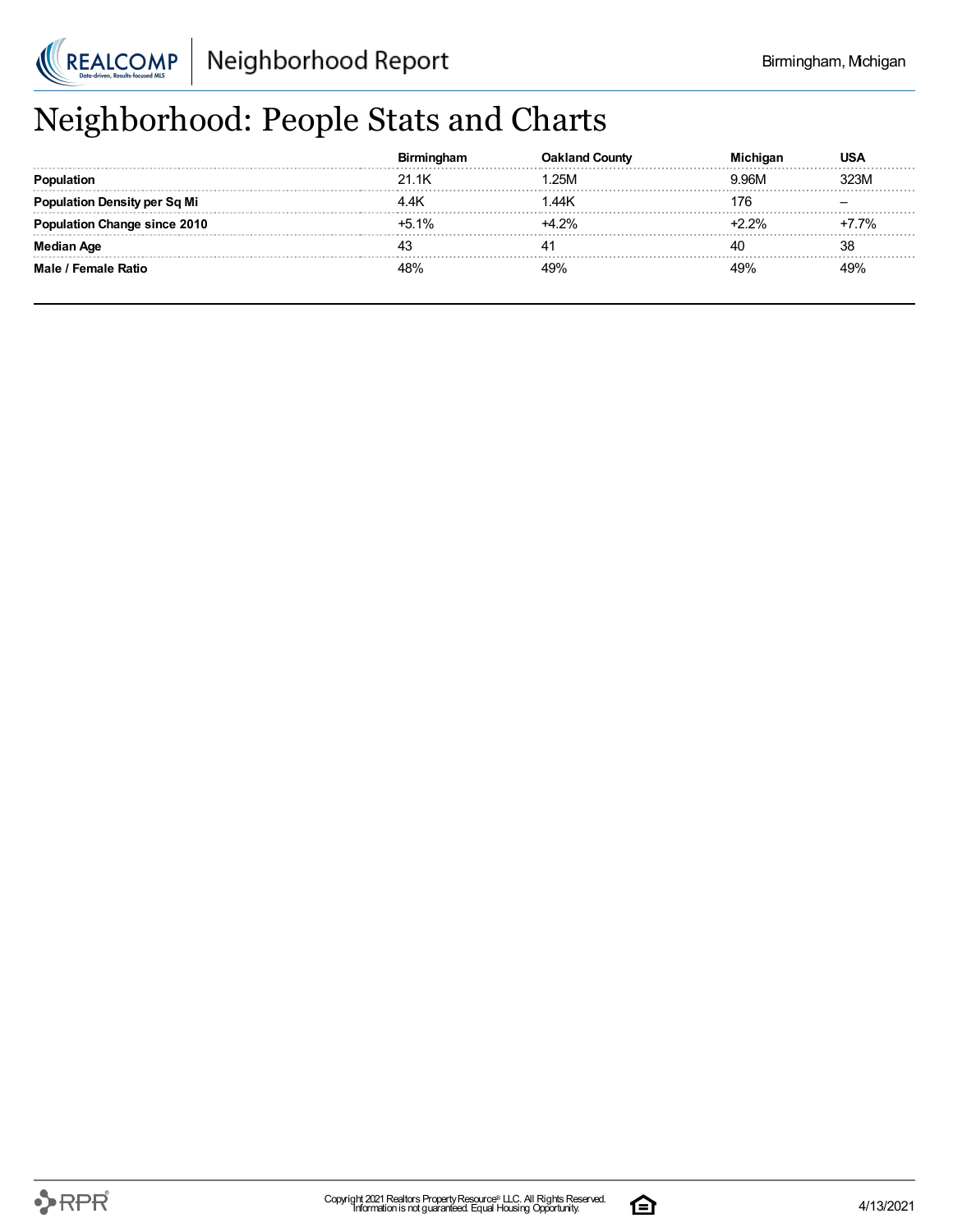

# Neighborhood: People Stats and Charts

|                                |         | County  |       |      |
|--------------------------------|---------|---------|-------|------|
|                                | 21.1K   | .25M    | 9 96M |      |
| <b>ation Density per Sq Mi</b> |         | 1.44K   |       |      |
| tion Change since 2010         | $+5.1%$ | $+4.2%$ |       | 7.7% |
| Median Age                     |         |         | 40    | 38   |
| Male / Female Ratio            | 100/    | 49%     | 10%   |      |

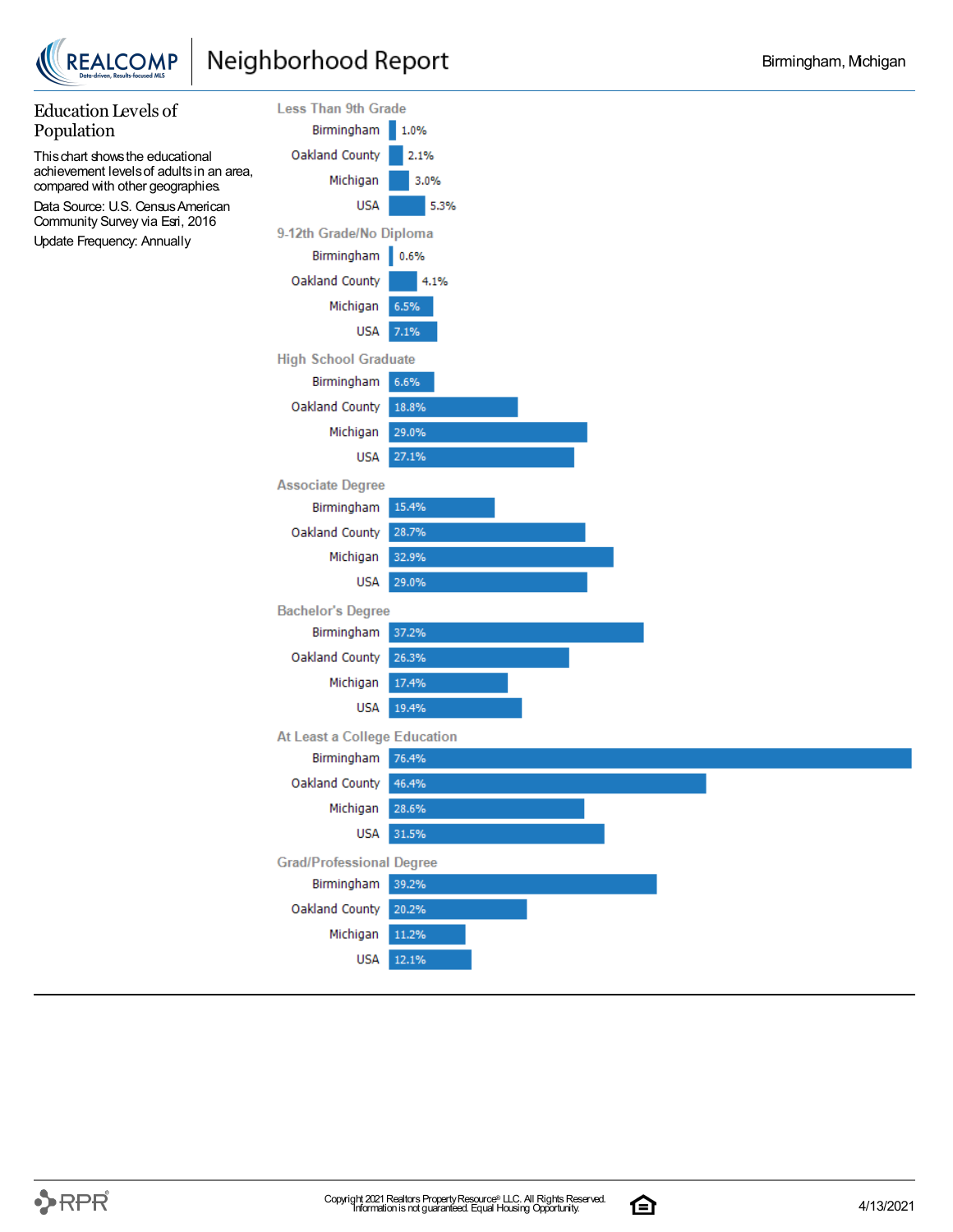



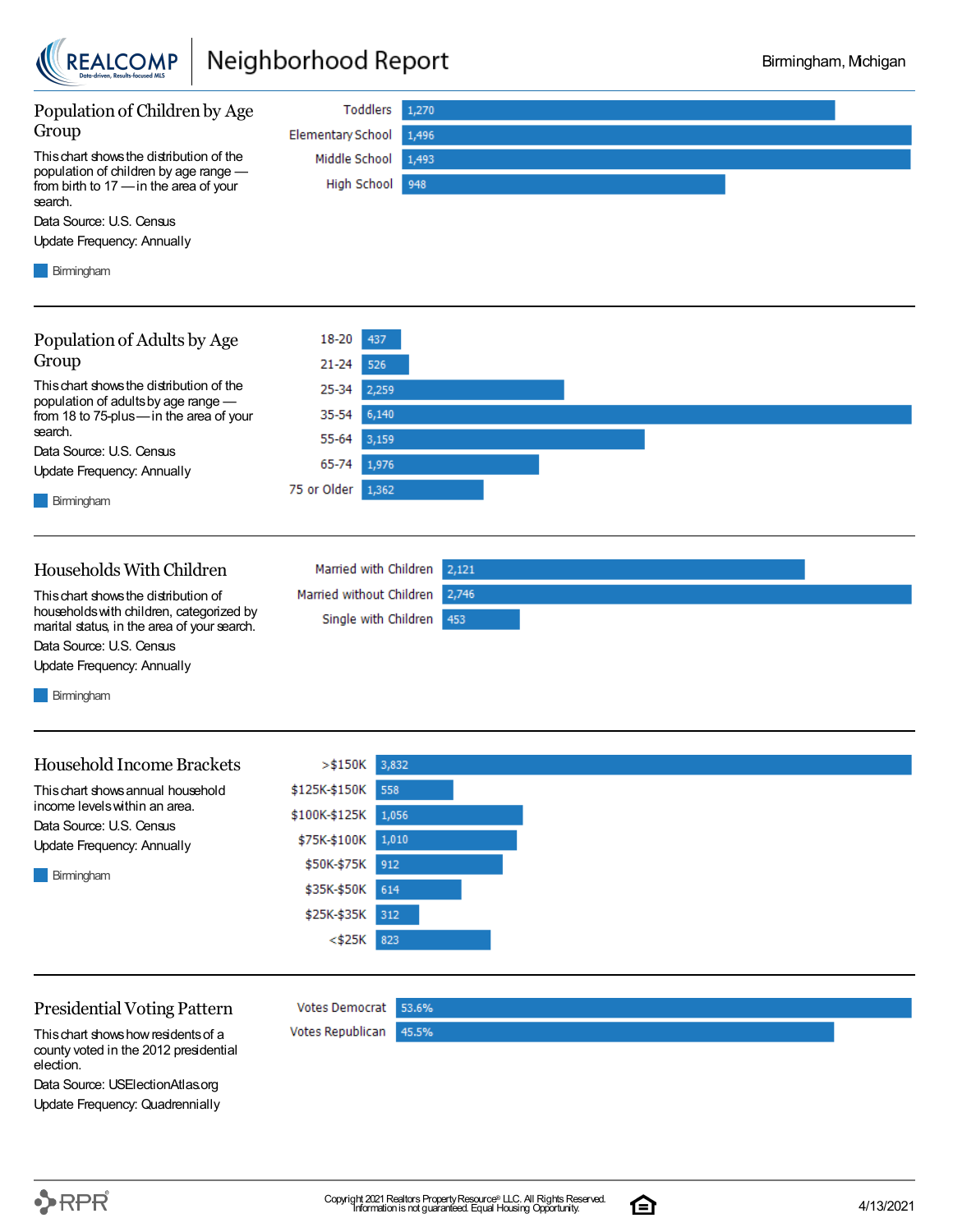

## Neighborhood Report



### Presidential Voting Pattern

Thischart showshowresidentsof a county voted in the 2012 presidential election.

Data Source: USElectionAtlas.org Update Frequency: Quadrennially 614

312

45.5%

<\$25K 823

Votes Democrat 53.6%

\$25K-\$35K

Votes Republican

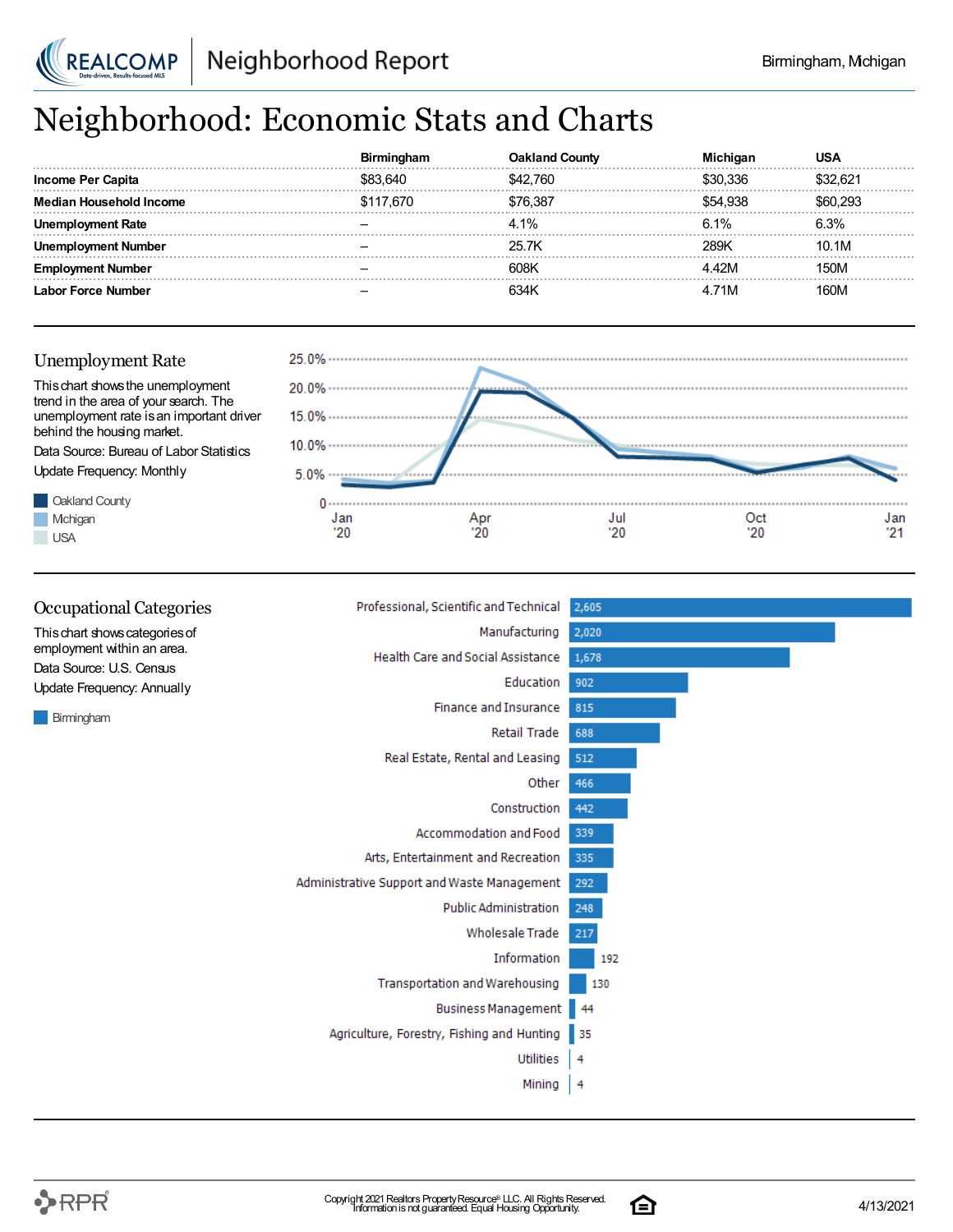

## Neighborhood: Economic Stats and Charts

|                   |           | ∴∩⊔nτv   |          |       |
|-------------------|-----------|----------|----------|-------|
| Income Per Capita | \$83.640  | \$42.760 | በ 336    |       |
| lousehold Income  | \$117.670 | '6 387   | \$54.938 |       |
| : Rate            |           | 4.1%     | 6.1%     |       |
| Number            |           | 25.7K    | 28.9K    | 10.1M |
|                   |           | 608K     |          | 50M   |
| −orce Number      |           |          | . 71M    | ገባਆ   |





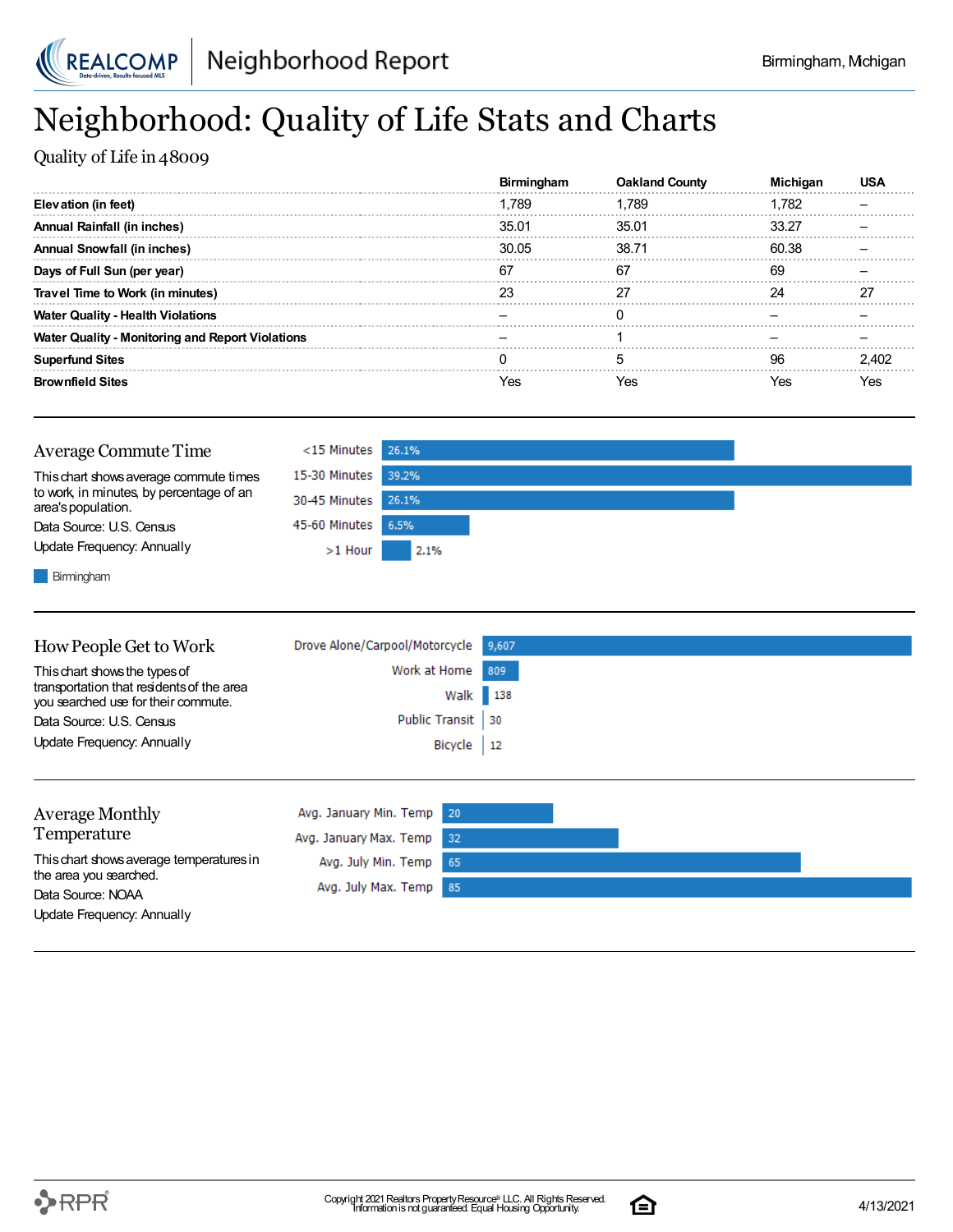

## Neighborhood: Quality of Life Stats and Charts

Quality of Life in 48009

|                                                         | Birminaham | <b>Oakland County</b> |       | US.   |
|---------------------------------------------------------|------------|-----------------------|-------|-------|
| Elevation (in feet)                                     | 1.789      | ∣.789                 | 1.782 |       |
| <b>Annual Rainfall (in inches)</b>                      | 35.01      | 35.01                 | 33.27 |       |
| Annual Snowfall (in inches)                             | 30.05      | 38.71                 | 60.38 |       |
| Days of Full Sun (per year)                             | 67         | 67                    | -69   |       |
| Travel Time to Work (in minutes)                        |            |                       |       |       |
| <b>Water Quality - Health Violations</b>                |            |                       |       |       |
| <b>Water Quality - Monitoring and Report Violations</b> |            |                       |       |       |
| <b>Superfund Sites</b>                                  |            |                       | 96    | 2 IN2 |
| <b>Brownfield Sites</b>                                 | Yes        | Yes                   | Yes   | es?   |

| Average Commute Time                                           | $<$ 15 Minutes 26.1% |      |  |
|----------------------------------------------------------------|----------------------|------|--|
| This chart shows average commute times                         | 15-30 Minutes 39.2%  |      |  |
| to work, in minutes, by percentage of an<br>area's population. | 30-45 Minutes 26.1%  |      |  |
| Data Source: U.S. Census                                       | 45-60 Minutes 6.5%   |      |  |
| Update Frequency: Annually                                     | $>1$ Hour            | 2.1% |  |
| .                                                              |                      |      |  |

**Birmingham** 

| How People Get to Work                                                           | Drove Alone/Carpool/Motorcycle 9,607 |  |
|----------------------------------------------------------------------------------|--------------------------------------|--|
| This chart shows the types of                                                    | Work at Home 809                     |  |
| transportation that residents of the area<br>you searched use for their commute. | Walk 138                             |  |
| Data Source: U.S. Census                                                         | Public Transit 30                    |  |
| Update Frequency: Annually                                                       | Bicycle   12                         |  |
|                                                                                  |                                      |  |

| <b>Average Monthly</b>                      | Avg. January Min. Temp 20 |  |  |
|---------------------------------------------|---------------------------|--|--|
| Temperature                                 | Avg. January Max. Temp 32 |  |  |
| This chart shows average temperatures in    | Avg. July Min. Temp 65    |  |  |
| the area you searched.<br>Data Source: NOAA | Avg. July Max. Temp 85    |  |  |
| Update Frequency: Annually                  |                           |  |  |